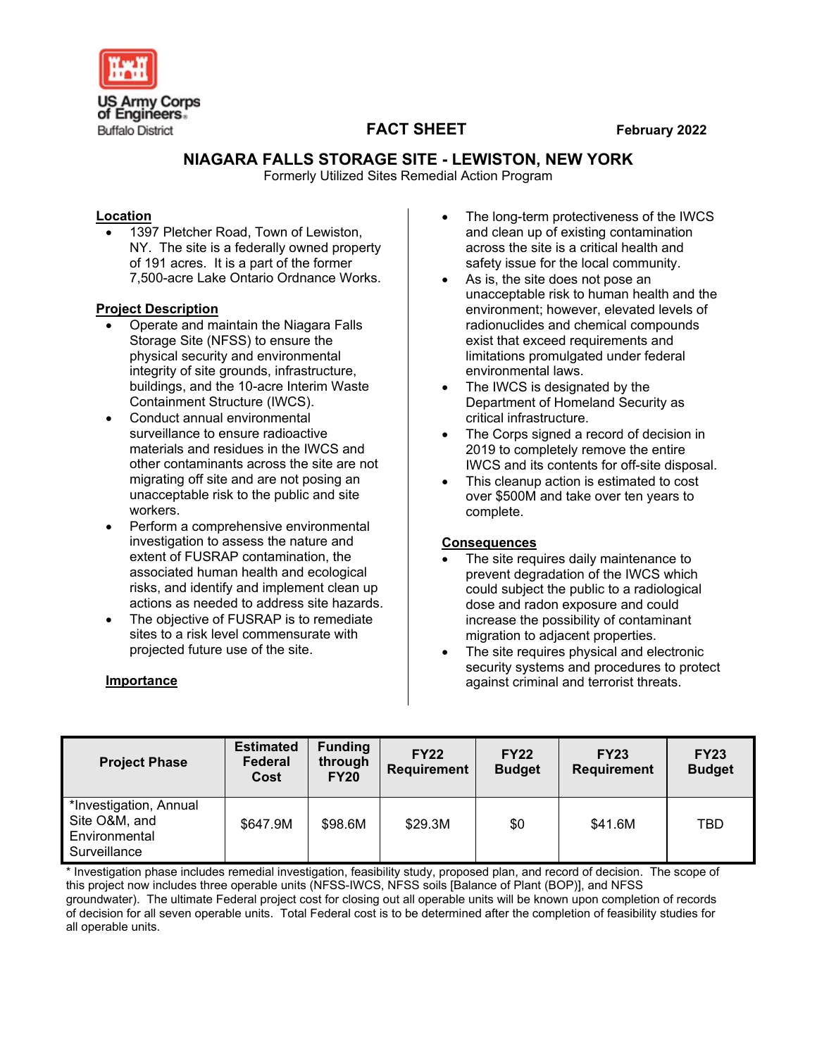

# **FACT SHEET February 2022**

## **NIAGARA FALLS STORAGE SITE - LEWISTON, NEW YORK**

Formerly Utilized Sites Remedial Action Program

### **Location**

1397 Pletcher Road, Town of Lewiston, NY. The site is a federally owned property of 191 acres. It is a part of the former 7,500-acre Lake Ontario Ordnance Works.

### **Project Description**

- Operate and maintain the Niagara Falls Storage Site (NFSS) to ensure the physical security and environmental integrity of site grounds, infrastructure, buildings, and the 10-acre Interim Waste Containment Structure (IWCS).
- Conduct annual environmental surveillance to ensure radioactive materials and residues in the IWCS and other contaminants across the site are not migrating off site and are not posing an unacceptable risk to the public and site workers.
- Perform a comprehensive environmental investigation to assess the nature and extent of FUSRAP contamination, the associated human health and ecological risks, and identify and implement clean up actions as needed to address site hazards.
- The objective of FUSRAP is to remediate sites to a risk level commensurate with projected future use of the site.

### **Importance**

- The long-term protectiveness of the IWCS and clean up of existing contamination across the site is a critical health and safety issue for the local community.
- As is, the site does not pose an unacceptable risk to human health and the environment; however, elevated levels of radionuclides and chemical compounds exist that exceed requirements and limitations promulgated under federal environmental laws.
- The IWCS is designated by the Department of Homeland Security as critical infrastructure.
- The Corps signed a record of decision in 2019 to completely remove the entire IWCS and its contents for off-site disposal.
- This cleanup action is estimated to cost over \$500M and take over ten years to complete.

### **Consequences**

- The site requires daily maintenance to prevent degradation of the IWCS which could subject the public to a radiological dose and radon exposure and could increase the possibility of contaminant migration to adjacent properties.
- The site requires physical and electronic security systems and procedures to protect against criminal and terrorist threats.

| <b>Project Phase</b>                                                     | <b>Estimated</b><br>Federal<br>Cost | <b>Funding</b><br>through<br><b>FY20</b> | <b>FY22</b><br><b>Requirement</b> | <b>FY22</b><br><b>Budget</b> | <b>FY23</b><br><b>Requirement</b> | <b>FY23</b><br><b>Budget</b> |
|--------------------------------------------------------------------------|-------------------------------------|------------------------------------------|-----------------------------------|------------------------------|-----------------------------------|------------------------------|
| *Investigation, Annual<br>Site O&M, and<br>Environmental<br>Surveillance | \$647.9M                            | \$98.6M                                  | \$29.3M                           | \$0                          | \$41.6M                           | TBD                          |

\* Investigation phase includes remedial investigation, feasibility study, proposed plan, and record of decision. The scope of this project now includes three operable units (NFSS-IWCS, NFSS soils [Balance of Plant (BOP)], and NFSS groundwater). The ultimate Federal project cost for closing out all operable units will be known upon completion of records of decision for all seven operable units. Total Federal cost is to be determined after the completion of feasibility studies for all operable units.